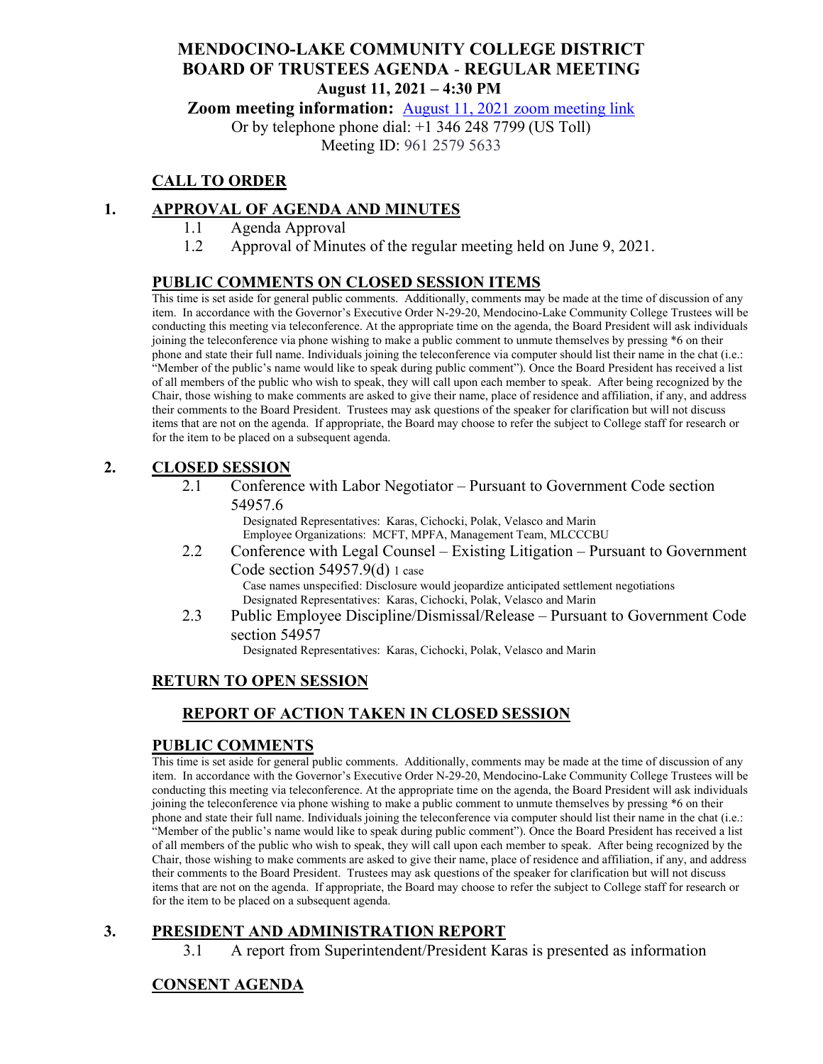### **MENDOCINO-LAKE COMMUNITY COLLEGE DISTRICT BOARD OF TRUSTEES AGENDA** - **REGULAR MEETING August 11, 2021 – 4:30 PM**

**Zoom meeting information:** August 11, [2021 zoom meeting link](https://cccconfer.zoom.us/s/96125795633)

Or by telephone phone dial: +1 346 248 7799 (US Toll) Meeting ID: 961 2579 5633

## **CALL TO ORDER**

### **1. APPROVAL OF AGENDA AND MINUTES**

- 1.1 Agenda Approval
- 1.2 Approval of Minutes of the regular meeting held on June 9, 2021.

#### **PUBLIC COMMENTS ON CLOSED SESSION ITEMS**

This time is set aside for general public comments. Additionally, comments may be made at the time of discussion of any item. In accordance with the Governor's Executive Order N-29-20, Mendocino-Lake Community College Trustees will be conducting this meeting via teleconference. At the appropriate time on the agenda, the Board President will ask individuals joining the teleconference via phone wishing to make a public comment to unmute themselves by pressing \*6 on their phone and state their full name. Individuals joining the teleconference via computer should list their name in the chat (i.e.: "Member of the public's name would like to speak during public comment"). Once the Board President has received a list of all members of the public who wish to speak, they will call upon each member to speak. After being recognized by the Chair, those wishing to make comments are asked to give their name, place of residence and affiliation, if any, and address their comments to the Board President. Trustees may ask questions of the speaker for clarification but will not discuss items that are not on the agenda. If appropriate, the Board may choose to refer the subject to College staff for research or for the item to be placed on a subsequent agenda.

#### **2. CLOSED SESSION**

2.1 Conference with Labor Negotiator – Pursuant to Government Code section 54957.6

> Designated Representatives: Karas, Cichocki, Polak, Velasco and Marin Employee Organizations: MCFT, MPFA, Management Team, MLCCCBU

2.2 Conference with Legal Counsel – Existing Litigation – Pursuant to Government Code section 54957.9(d) 1 case Case names unspecified: Disclosure would jeopardize anticipated settlement negotiations

Designated Representatives: Karas, Cichocki, Polak, Velasco and Marin

2.3 Public Employee Discipline/Dismissal/Release – Pursuant to Government Code section 54957

Designated Representatives: Karas, Cichocki, Polak, Velasco and Marin

#### **RETURN TO OPEN SESSION**

## **REPORT OF ACTION TAKEN IN CLOSED SESSION**

#### **PUBLIC COMMENTS**

This time is set aside for general public comments. Additionally, comments may be made at the time of discussion of any item. In accordance with the Governor's Executive Order N-29-20, Mendocino-Lake Community College Trustees will be conducting this meeting via teleconference. At the appropriate time on the agenda, the Board President will ask individuals joining the teleconference via phone wishing to make a public comment to unmute themselves by pressing \*6 on their phone and state their full name. Individuals joining the teleconference via computer should list their name in the chat (i.e.: "Member of the public's name would like to speak during public comment"). Once the Board President has received a list of all members of the public who wish to speak, they will call upon each member to speak. After being recognized by the Chair, those wishing to make comments are asked to give their name, place of residence and affiliation, if any, and address their comments to the Board President. Trustees may ask questions of the speaker for clarification but will not discuss items that are not on the agenda. If appropriate, the Board may choose to refer the subject to College staff for research or for the item to be placed on a subsequent agenda.

#### **3. PRESIDENT AND ADMINISTRATION REPORT**

3.1 A report from Superintendent/President Karas is presented as information

## **CONSENT AGENDA**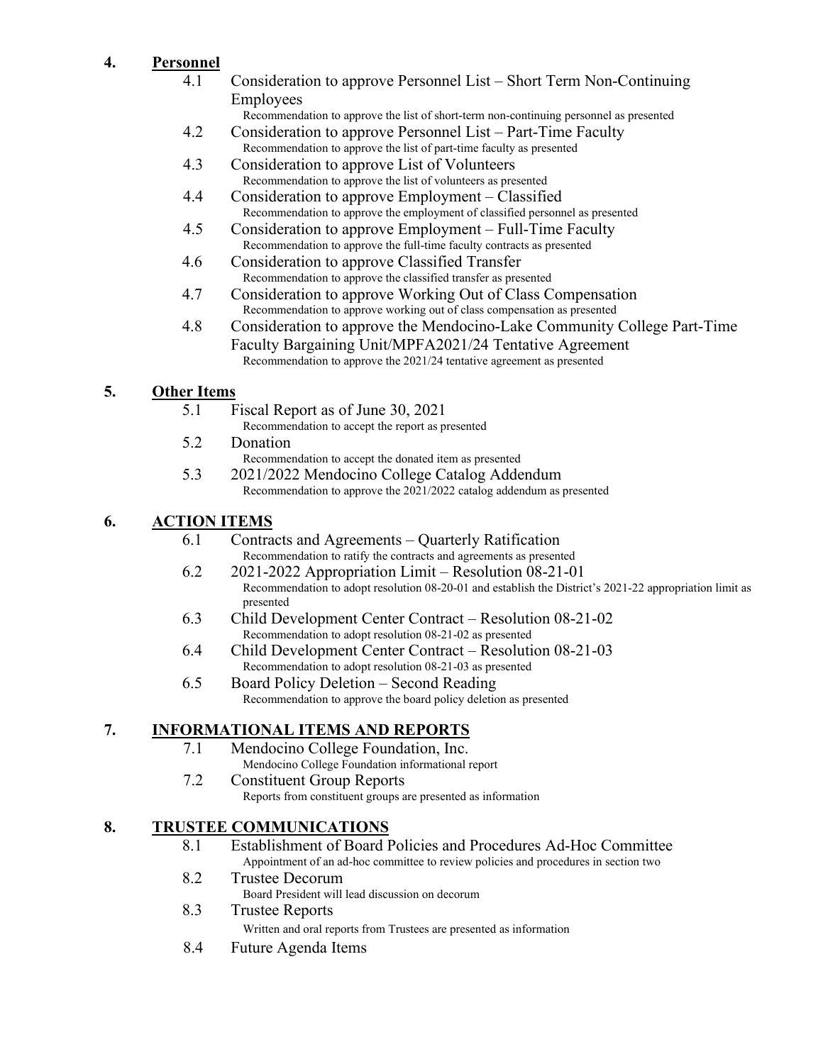# **4. Personnel**

- 4.1 Consideration to approve Personnel List Short Term Non-Continuing Employees
	- Recommendation to approve the list of short-term non-continuing personnel as presented
- 4.2 Consideration to approve Personnel List Part-Time Faculty Recommendation to approve the list of part-time faculty as presented
- 4.3 Consideration to approve List of Volunteers Recommendation to approve the list of volunteers as presented
- 4.4 Consideration to approve Employment Classified Recommendation to approve the employment of classified personnel as presented
- 4.5 Consideration to approve Employment Full-Time Faculty Recommendation to approve the full-time faculty contracts as presented
- 4.6 Consideration to approve Classified Transfer Recommendation to approve the classified transfer as presented
- 4.7 Consideration to approve Working Out of Class Compensation Recommendation to approve working out of class compensation as presented
- 4.8 Consideration to approve the Mendocino-Lake Community College Part-Time Faculty Bargaining Unit/MPFA2021/24 Tentative Agreement Recommendation to approve the 2021/24 tentative agreement as presented

## **5. Other Items**

- 5.1 Fiscal Report as of June 30, 2021
	- Recommendation to accept the report as presented
- 5.2 Donation
- Recommendation to accept the donated item as presented 5.3 2021/2022 Mendocino College Catalog Addendum
	- Recommendation to approve the 2021/2022 catalog addendum as presented

# **6. ACTION ITEMS**

- 6.1 Contracts and Agreements Quarterly Ratification Recommendation to ratify the contracts and agreements as presented
- 6.2 2021-2022 Appropriation Limit Resolution 08-21-01 Recommendation to adopt resolution 08-20-01 and establish the District's 2021-22 appropriation limit as presented
- 6.3 Child Development Center Contract Resolution 08-21-02 Recommendation to adopt resolution 08-21-02 as presented
- 6.4 Child Development Center Contract Resolution 08-21-03 Recommendation to adopt resolution 08-21-03 as presented
- 6.5 Board Policy Deletion Second Reading Recommendation to approve the board policy deletion as presented

## **7. INFORMATIONAL ITEMS AND REPORTS**

- 7.1 Mendocino College Foundation, Inc.
- Mendocino College Foundation informational report 7.2 Constituent Group Reports
	- Reports from constituent groups are presented as information

## **8. TRUSTEE COMMUNICATIONS**

- 8.1 Establishment of Board Policies and Procedures Ad-Hoc Committee Appointment of an ad-hoc committee to review policies and procedures in section two
- 8.2 Trustee Decorum
	- Board President will lead discussion on decorum
- 8.3 Trustee Reports
	- Written and oral reports from Trustees are presented as information
- 8.4 Future Agenda Items